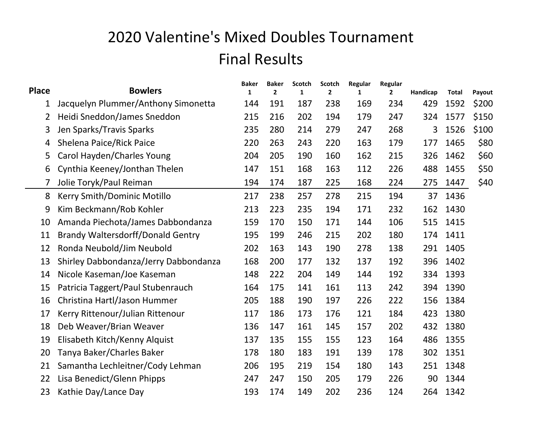## 2020 Valentine's Mixed Doubles Tournament Final Results

|                |                                          | <b>Baker</b> | <b>Baker</b> | Scotch       | Scotch         | Regular      | Regular      |          |              |        |
|----------------|------------------------------------------|--------------|--------------|--------------|----------------|--------------|--------------|----------|--------------|--------|
| <b>Place</b>   | <b>Bowlers</b>                           | $\mathbf{1}$ | $\mathbf{2}$ | $\mathbf{1}$ | $\overline{2}$ | $\mathbf{1}$ | $\mathbf{2}$ | Handicap | <b>Total</b> | Payout |
| 1              | Jacquelyn Plummer/Anthony Simonetta      | 144          | 191          | 187          | 238            | 169          | 234          | 429      | 1592         | \$200  |
| 2              | Heidi Sneddon/James Sneddon              | 215          | 216          | 202          | 194            | 179          | 247          | 324      | 1577         | \$150  |
| 3              | Jen Sparks/Travis Sparks                 | 235          | 280          | 214          | 279            | 247          | 268          | 3        | 1526         | \$100  |
| 4              | Shelena Paice/Rick Paice                 | 220          | 263          | 243          | 220            | 163          | 179          | 177      | 1465         | \$80   |
| 5              | Carol Hayden/Charles Young               | 204          | 205          | 190          | 160            | 162          | 215          | 326      | 1462         | \$60   |
| 6              | Cynthia Keeney/Jonthan Thelen            | 147          | 151          | 168          | 163            | 112          | 226          | 488      | 1455         | \$50   |
| $\overline{7}$ | Jolie Toryk/Paul Reiman                  | 194          | 174          | 187          | 225            | 168          | 224          | 275      | 1447         | \$40   |
| 8              | Kerry Smith/Dominic Motillo              | 217          | 238          | 257          | 278            | 215          | 194          | 37       | 1436         |        |
| 9              | Kim Beckmann/Rob Kohler                  | 213          | 223          | 235          | 194            | 171          | 232          | 162      | 1430         |        |
| 10             | Amanda Piechota/James Dabbondanza        | 159          | 170          | 150          | 171            | 144          | 106          | 515      | 1415         |        |
| 11             | <b>Brandy Waltersdorff/Donald Gentry</b> | 195          | 199          | 246          | 215            | 202          | 180          | 174      | 1411         |        |
| 12             | Ronda Neubold/Jim Neubold                | 202          | 163          | 143          | 190            | 278          | 138          | 291      | 1405         |        |
| 13             | Shirley Dabbondanza/Jerry Dabbondanza    | 168          | 200          | 177          | 132            | 137          | 192          | 396      | 1402         |        |
| 14             | Nicole Kaseman/Joe Kaseman               | 148          | 222          | 204          | 149            | 144          | 192          | 334      | 1393         |        |
| 15             | Patricia Taggert/Paul Stubenrauch        | 164          | 175          | 141          | 161            | 113          | 242          | 394      | 1390         |        |
| 16             | Christina Hartl/Jason Hummer             | 205          | 188          | 190          | 197            | 226          | 222          | 156      | 1384         |        |
| 17             | Kerry Rittenour/Julian Rittenour         | 117          | 186          | 173          | 176            | 121          | 184          | 423      | 1380         |        |
| 18             | Deb Weaver/Brian Weaver                  | 136          | 147          | 161          | 145            | 157          | 202          | 432      | 1380         |        |
| 19             | Elisabeth Kitch/Kenny Alquist            | 137          | 135          | 155          | 155            | 123          | 164          | 486      | 1355         |        |
| 20             | Tanya Baker/Charles Baker                | 178          | 180          | 183          | 191            | 139          | 178          | 302      | 1351         |        |
| 21             | Samantha Lechleitner/Cody Lehman         | 206          | 195          | 219          | 154            | 180          | 143          | 251      | 1348         |        |
| 22             | Lisa Benedict/Glenn Phipps               | 247          | 247          | 150          | 205            | 179          | 226          | 90       | 1344         |        |
| 23             | Kathie Day/Lance Day                     | 193          | 174          | 149          | 202            | 236          | 124          | 264      | 1342         |        |